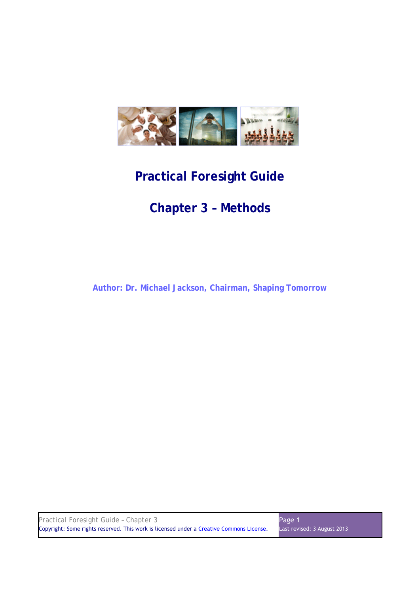

# **Practical Foresight Guide**

# **Chapter 3 – Methods**

**Author: Dr. Michael Jackson, Chairman, Shaping Tomorrow** 

| Practical Foresight Guide - Chapter 3                                                    | Page 1                      |
|------------------------------------------------------------------------------------------|-----------------------------|
| Copyright: Some rights reserved. This work is licensed under a Creative Commons License. | Last revised: 3 August 2013 |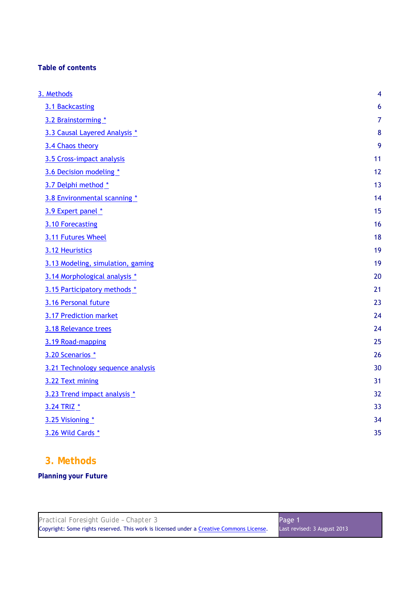## **Table of contents**

| 3. Methods                        | 4              |
|-----------------------------------|----------------|
| 3.1 Backcasting                   | 6              |
| 3.2 Brainstorming *               | $\overline{7}$ |
| 3.3 Causal Layered Analysis *     | 8              |
| 3.4 Chaos theory                  | 9              |
| 3.5 Cross-impact analysis         | 11             |
| 3.6 Decision modeling *           | 12             |
| 3.7 Delphi method *               | 13             |
| 3.8 Environmental scanning *      | 14             |
| 3.9 Expert panel *                | 15             |
| 3.10 Forecasting                  | 16             |
| 3.11 Futures Wheel                | 18             |
| 3.12 Heuristics                   | 19             |
| 3.13 Modeling, simulation, gaming | 19             |
| 3.14 Morphological analysis *     | 20             |
| 3.15 Participatory methods *      | 21             |
| 3.16 Personal future              | 23             |
| 3.17 Prediction market            | 24             |
| 3.18 Relevance trees              | 24             |
| 3.19 Road-mapping                 | 25             |
| 3.20 Scenarios *                  | 26             |
| 3.21 Technology sequence analysis | 30             |
| 3.22 Text mining                  | 31             |
| 3.23 Trend impact analysis *      | 32             |
| 3.24 TRIZ *                       | 33             |
| 3.25 Visioning *                  | 34             |
| 3.26 Wild Cards *                 | 35             |
|                                   |                |

# **3. Methods**

## **Planning your Future**

| Practical Foresight Guide - Chapter 3                                                    | Page 1                      |
|------------------------------------------------------------------------------------------|-----------------------------|
| Copyright: Some rights reserved. This work is licensed under a Creative Commons License. | Last revised: 3 August 2013 |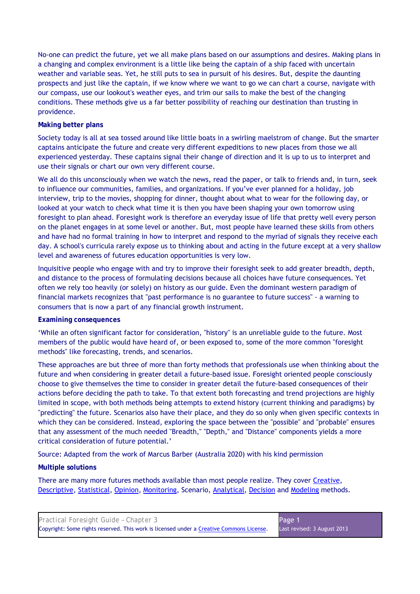No-one can predict the future, yet we all make plans based on our assumptions and desires. Making plans in a changing and complex environment is a little like being the captain of a ship faced with uncertain weather and variable seas. Yet, he still puts to sea in pursuit of his desires. But, despite the daunting prospects and just like the captain, if we know where we want to go we can chart a course, navigate with our compass, use our lookout's weather eyes, and trim our sails to make the best of the changing conditions. These methods give us a far better possibility of reaching our destination than trusting in providence.

## **Making better plans**

Society today is all at sea tossed around like little boats in a swirling maelstrom of change. But the smarter captains anticipate the future and create very different expeditions to new places from those we all experienced yesterday. These captains signal their change of direction and it is up to us to interpret and use their signals or chart our own very different course.

We all do this unconsciously when we watch the news, read the paper, or talk to friends and, in turn, seek to influence our communities, families, and organizations. If you've ever planned for a holiday, job interview, trip to the movies, shopping for dinner, thought about what to wear for the following day, or looked at your watch to check what time it is then you have been shaping your own tomorrow using foresight to plan ahead. Foresight work is therefore an everyday issue of life that pretty well every person on the planet engages in at some level or another. But, most people have learned these skills from others and have had no formal training in how to interpret and respond to the myriad of signals they receive each day. A school's curricula rarely expose us to thinking about and acting in the future except at a very shallow level and awareness of futures education opportunities is very low.

Inquisitive people who engage with and try to improve their foresight seek to add greater breadth, depth, and distance to the process of formulating decisions because all choices have future consequences. Yet often we rely too heavily (or solely) on history as our guide. Even the dominant western paradigm of financial markets recognizes that "past performance is no guarantee to future success" - a warning to consumers that is now a part of any financial growth instrument.

## **Examining consequences**

'While an often significant factor for consideration, "history" is an unreliable guide to the future. Most members of the public would have heard of, or been exposed to, some of the more common "foresight methods" like forecasting, trends, and scenarios.

These approaches are but three of more than forty methods that professionals use when thinking about the future and when considering in greater detail a future-based issue. Foresight oriented people consciously choose to give themselves the time to consider in greater detail the future-based consequences of their actions before deciding the path to take. To that extent both forecasting and trend projections are highly limited in scope, with both methods being attempts to extend history (current thinking and paradigms) by "predicting" the future. Scenarios also have their place, and they do so only when given specific contexts in which they can be considered. Instead, exploring the space between the "possible" and "probable" ensures that any assessment of the much needed "Breadth," "Depth," and "Distance" components yields a more critical consideration of future potential.'

Source: Adapted from the work of Marcus Barber (Australia 2020) with his kind permission

## **Multiple solutions**

There are many more futures methods available than most people realize. They cover Creative, Descriptive, Statistical, Opinion, Monitoring, Scenario, Analytical, Decision and Modeling methods.

| Practical Foresight Guide - Chapter 3                                                    | Page 1                      |
|------------------------------------------------------------------------------------------|-----------------------------|
| Copyright: Some rights reserved. This work is licensed under a Creative Commons License. | Last revised: 3 August 2013 |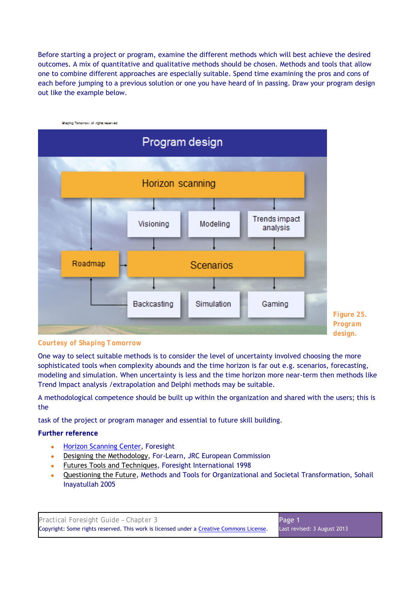Before starting a project or program, examine the different methods which will best achieve the desired outcomes. A mix of quantitative and qualitative methods should be chosen. Methods and tools that allow one to combine different approaches are especially suitable. Spend time examining the pros and cons of each before jumping to a previous solution or one you have heard of in passing. Draw your program design out like the example below.



*Courtesy of Shaping Tomorrow* 

One way to select suitable methods is to consider the level of uncertainty involved choosing the more sophisticated tools when complexity abounds and the time horizon is far out e.g. scenarios, forecasting, modeling and simulation. When uncertainty is less and the time horizon more near-term then methods like Trend Impact analysis /extrapolation and Delphi methods may be suitable.

A methodological competence should be built up within the organization and shared with the users; this is the

task of the project or program manager and essential to future skill building.

**Further reference** 

- **Horizon Scanning Center, Foresight**
- Designing the Methodology, For-Learn, JRC European Commission
- Futures Tools and Techniques, Foresight International 1998
- Questioning the Future, Methods and Tools for Organizational and Societal Transformation, Sohail Inayatullah 2005

| Practical Foresight Guide - Chapter 3                                                    | Page 1                      |
|------------------------------------------------------------------------------------------|-----------------------------|
| Copyright: Some rights reserved. This work is licensed under a Creative Commons License. | Last revised: 3 August 2013 |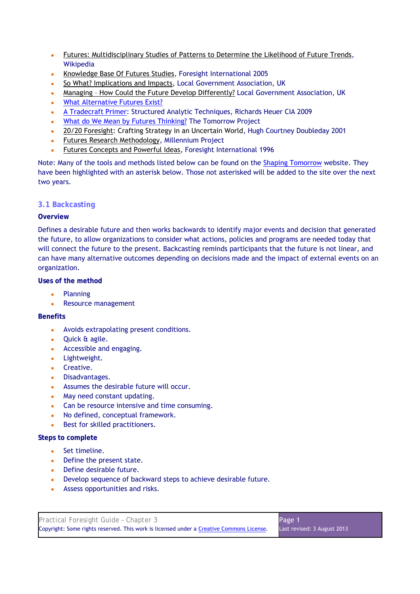- Futures: Multidisciplinary Studies of Patterns to Determine the Likelihood of Future Trends, Wikipedia
- Knowledge Base Of Futures Studies, Foresight International 2005
- So What? Implications and Impacts, Local Government Association, UK
- Managing How Could the Future Develop Differently? Local Government Association, UK
- What Alternative Futures Exist?
- A Tradecraft Primer: Structured Analytic Techniques, Richards Heuer CIA 2009
- What do We Mean by Futures Thinking? The Tomorrow Project
- 20/20 Foresight: Crafting Strategy in an Uncertain World, Hugh Courtney Doubleday 2001
- Futures Research Methodology, Millennium Project
- **Futures Concepts and Powerful Ideas, Foresight International 1996**

Note: Many of the tools and methods listed below can be found on the Shaping Tomorrow website. They have been highlighted with an asterisk below. Those not asterisked will be added to the site over the next two years.

## **3.1 Backcasting**

## **Overview**

Defines a desirable future and then works backwards to identify major events and decision that generated the future, to allow organizations to consider what actions, policies and programs are needed today that will connect the future to the present. Backcasting reminds participants that the future is not linear, and can have many alternative outcomes depending on decisions made and the impact of external events on an organization.

## **Uses of the method**

- **Planning**
- Resource management

## **Benefits**

- Avoids extrapolating present conditions.
- Quick & agile.
- Accessible and engaging.
- Lightweight.
- Creative.
- Disadvantages.
- Assumes the desirable future will occur.
- May need constant updating.
- Can be resource intensive and time consuming.
- No defined, conceptual framework.
- Best for skilled practitioners.

- Set timeline.
- Define the present state.
- Define desirable future.
- Develop sequence of backward steps to achieve desirable future.
- Assess opportunities and risks.

| Practical Foresight Guide - Chapter 3                                                    | Page 1                      |
|------------------------------------------------------------------------------------------|-----------------------------|
| Copyright: Some rights reserved. This work is licensed under a Creative Commons License. | Last revised: 3 August 2013 |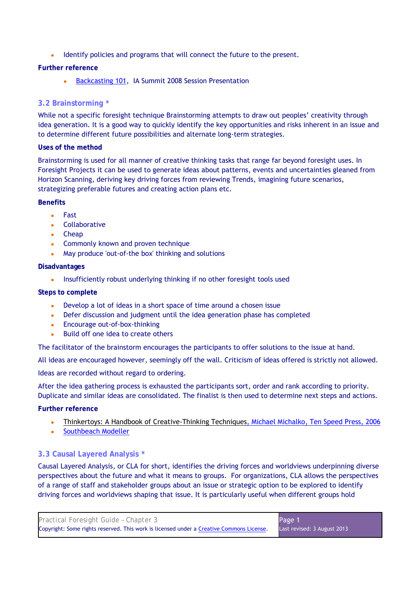Identify policies and programs that will connect the future to the present.

## **Further reference**

Backcasting 101, IA Summit 2008 Session Presentation

## **3.2 Brainstorming \***

While not a specific foresight technique Brainstorming attempts to draw out peoples' creativity through idea generation. It is a good way to quickly identify the key opportunities and risks inherent in an issue and to determine different future possibilities and alternate long-term strategies.

## **Uses of the method**

Brainstorming is used for all manner of creative thinking tasks that range far beyond foresight uses. In Foresight Projects it can be used to generate ideas about patterns, events and uncertainties gleaned from Horizon Scanning, deriving key driving forces from reviewing Trends, imagining future scenarios, strategizing preferable futures and creating action plans etc.

## **Benefits**

- Fast
- Collaborative
- Cheap
- Commonly known and proven technique
- May produce 'out-of-the box' thinking and solutions

## **Disadvantages**

• Insufficiently robust underlying thinking if no other foresight tools used

## **Steps to complete**

- Develop a lot of ideas in a short space of time around a chosen issue
- Defer discussion and judgment until the idea generation phase has completed
- Encourage out-of-box-thinking
- Build off one idea to create others

The facilitator of the brainstorm encourages the participants to offer solutions to the issue at hand.

All ideas are encouraged however, seemingly off the wall. Criticism of ideas offered is strictly not allowed.

Ideas are recorded without regard to ordering.

After the idea gathering process is exhausted the participants sort, order and rank according to priority. Duplicate and similar ideas are consolidated. The finalist is then used to determine next steps and actions.

**Further reference** 

- Thinkertoys: A Handbook of Creative-Thinking Techniques, Michael Michalko, Ten Speed Press, 2006
- Southbeach Modeller

## **3.3 Causal Layered Analysis \***

Causal Layered Analysis, or CLA for short, identifies the driving forces and worldviews underpinning diverse perspectives about the future and what it means to groups. For organizations, CLA allows the perspectives of a range of staff and stakeholder groups about an issue or strategic option to be explored to identify driving forces and worldviews shaping that issue. It is particularly useful when different groups hold

| Practical Foresight Guide - Chapter 3                                                    | Page 1                      |
|------------------------------------------------------------------------------------------|-----------------------------|
| Copyright: Some rights reserved. This work is licensed under a Creative Commons License. | Last revised: 3 August 2013 |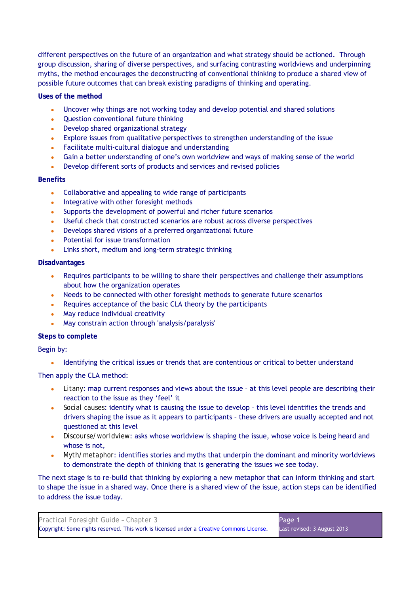different perspectives on the future of an organization and what strategy should be actioned. Through group discussion, sharing of diverse perspectives, and surfacing contrasting worldviews and underpinning myths, the method encourages the deconstructing of conventional thinking to produce a shared view of possible future outcomes that can break existing paradigms of thinking and operating.

## **Uses of the method**

- Uncover why things are not working today and develop potential and shared solutions
- Question conventional future thinking
- Develop shared organizational strategy
- Explore issues from qualitative perspectives to strengthen understanding of the issue
- Facilitate multi-cultural dialogue and understanding
- Gain a better understanding of one's own worldview and ways of making sense of the world
- Develop different sorts of products and services and revised policies

## **Benefits**

- Collaborative and appealing to wide range of participants
- Integrative with other foresight methods
- Supports the development of powerful and richer future scenarios
- Useful check that constructed scenarios are robust across diverse perspectives
- Develops shared visions of a preferred organizational future
- Potential for issue transformation
- Links short, medium and long-term strategic thinking

## **Disadvantages**

- Requires participants to be willing to share their perspectives and challenge their assumptions about how the organization operates
- Needs to be connected with other foresight methods to generate future scenarios
- Requires acceptance of the basic CLA theory by the participants
- May reduce individual creativity
- May constrain action through 'analysis' paralysis'

## **Steps to complete**

## Begin by:

• Identifying the critical issues or trends that are contentious or critical to better understand

## Then apply the CLA method:

- *Litany*: map current responses and views about the issue at this level people are describing their reaction to the issue as they 'feel' it
- *Social causes*: identify what is causing the issue to develop this level identifies the trends and drivers shaping the issue as it appears to participants – these drivers are usually accepted and not questioned at this level
- *Discourse/worldview*: asks whose worldview is shaping the issue, whose voice is being heard and whose is not,
- *Myth/metaphor*: identifies stories and myths that underpin the dominant and minority worldviews to demonstrate the depth of thinking that is generating the issues we see today.

The next stage is to re-build that thinking by exploring a new metaphor that can inform thinking and start to shape the issue in a shared way. Once there is a shared view of the issue, action steps can be identified to address the issue today.

| Practical Foresight Guide - Chapter 3                                                    | Page 1                      |
|------------------------------------------------------------------------------------------|-----------------------------|
| Copyright: Some rights reserved. This work is licensed under a Creative Commons License. | Last revised: 3 August 2013 |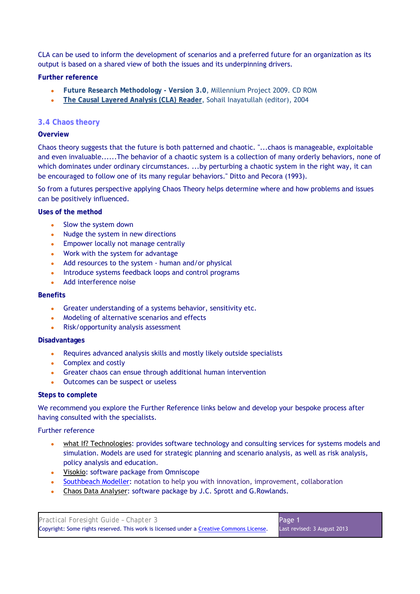CLA can be used to inform the development of scenarios and a preferred future for an organization as its output is based on a shared view of both the issues and its underpinning drivers.

## **Further reference**

- **Future Research Methodology Version 3.0**, Millennium Project 2009. CD ROM
- **The Causal Layered Analysis (CLA) Reader**, Sohail Inayatullah (editor), 2004

## **3.4 Chaos theory**

## **Overview**

Chaos theory suggests that the future is both patterned and chaotic. "...chaos is manageable, exploitable and even invaluable......The behavior of a chaotic system is a collection of many orderly behaviors, none of which dominates under ordinary circumstances. ...by perturbing a chaotic system in the right way, it can be encouraged to follow one of its many regular behaviors." Ditto and Pecora (1993).

So from a futures perspective applying Chaos Theory helps determine where and how problems and issues can be positively influenced.

#### **Uses of the method**

- Slow the system down
- Nudge the system in new directions
- Empower locally not manage centrally
- Work with the system for advantage
- Add resources to the system human and/or physical
- Introduce systems feedback loops and control programs
- Add interference noise

#### **Benefits**

- Greater understanding of a systems behavior, sensitivity etc.
- Modeling of alternative scenarios and effects
- Risk/opportunity analysis assessment

## **Disadvantages**

- Requires advanced analysis skills and mostly likely outside specialists
- Complex and costly
- Greater chaos can ensue through additional human intervention
- Outcomes can be suspect or useless

## **Steps to complete**

We recommend you explore the Further Reference links below and develop your bespoke process after having consulted with the specialists.

## Further reference

- what If? Technologies: provides software technology and consulting services for systems models and simulation. Models are used for strategic planning and scenario analysis, as well as risk analysis, policy analysis and education.
- Visokio: software package from Omniscope
- Southbeach Modeller: notation to help you with innovation, improvement, collaboration
- Chaos Data Analyser: software package by J.C. Sprott and G. Rowlands.

| Practical Foresight Guide - Chapter 3                                                    | Page 1                       |
|------------------------------------------------------------------------------------------|------------------------------|
| Copyright: Some rights reserved. This work is licensed under a Creative Commons License. | Last revised: 3 August 2013. |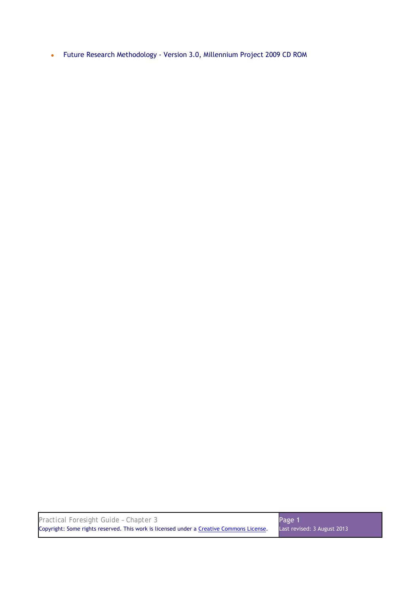● Future Research Methodology - Version 3.0, Millennium Project 2009 CD ROM

| Practical Foresight Guide - Chapter 3                                                    | Page 1                      |
|------------------------------------------------------------------------------------------|-----------------------------|
| Copyright: Some rights reserved. This work is licensed under a Creative Commons License. | Last revised: 3 August 2013 |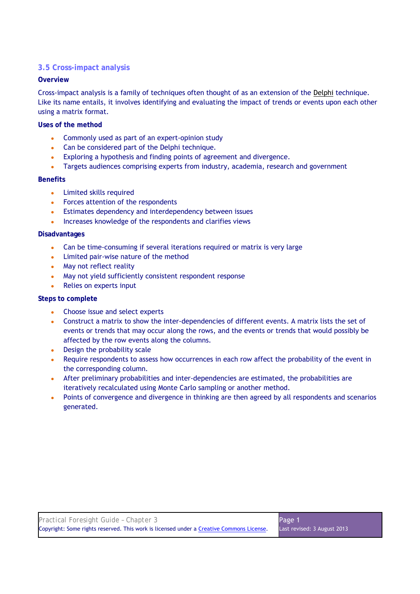## **3.5 Cross-impact analysis**

## **Overview**

Cross-impact analysis is a family of techniques often thought of as an extension of the Delphi technique. Like its name entails, it involves identifying and evaluating the impact of trends or events upon each other using a matrix format.

## **Uses of the method**

- Commonly used as part of an expert-opinion study
- Can be considered part of the Delphi technique.
- Exploring a hypothesis and finding points of agreement and divergence.
- Targets audiences comprising experts from industry, academia, research and government

## **Benefits**

- Limited skills required
- Forces attention of the respondents
- Estimates dependency and interdependency between issues
- Increases knowledge of the respondents and clarifies views

## **Disadvantages**

- Can be time-consuming if several iterations required or matrix is very large
- Limited pair-wise nature of the method
- May not reflect reality
- May not yield sufficiently consistent respondent response
- Relies on experts input

- Choose issue and select experts
- Construct a matrix to show the inter-dependencies of different events. A matrix lists the set of events or trends that may occur along the rows, and the events or trends that would possibly be affected by the row events along the columns.
- Design the probability scale
- Require respondents to assess how occurrences in each row affect the probability of the event in the corresponding column.
- After preliminary probabilities and inter-dependencies are estimated, the probabilities are iteratively recalculated using Monte Carlo sampling or another method.
- Points of convergence and divergence in thinking are then agreed by all respondents and scenarios generated.

| Practical Foresight Guide - Chapter 3                                                    | Page 1                      |
|------------------------------------------------------------------------------------------|-----------------------------|
| Copyright: Some rights reserved. This work is licensed under a Creative Commons License. | Last revised: 3 August 2013 |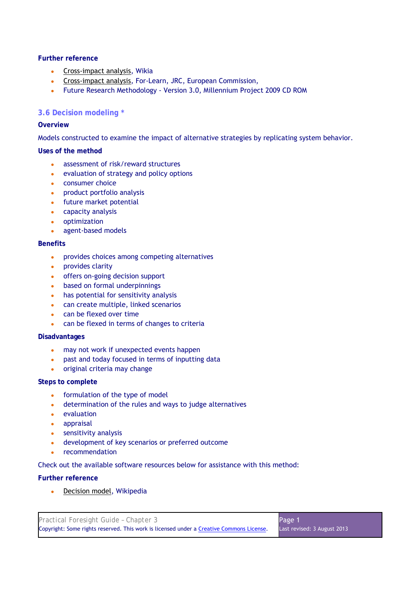- Cross-impact analysis, Wikia
- Cross-impact analysis, For-Learn, JRC, European Commission,
- Future Research Methodology Version 3.0, Millennium Project 2009 CD ROM

## **3.6 Decision modeling \***

## **Overview**

Models constructed to examine the impact of alternative strategies by replicating system behavior.

## **Uses of the method**

- assessment of risk/reward structures
- evaluation of strategy and policy options
- consumer choice
- product portfolio analysis
- future market potential
- capacity analysis
- optimization
- agent-based models

#### **Benefits**

- provides choices among competing alternatives
- provides clarity
- offers on-going decision support
- based on formal underpinnings
- $\bullet$  has potential for sensitivity analysis
- can create multiple, linked scenarios
- can be flexed over time
- can be flexed in terms of changes to criteria

#### **Disadvantages**

- may not work if unexpected events happen
- past and today focused in terms of inputting data
- original criteria may change

## **Steps to complete**

- formulation of the type of model
- determination of the rules and ways to judge alternatives
- evaluation
- appraisal
- sensitivity analysis
- development of key scenarios or preferred outcome
- recommendation

Check out the available software resources below for assistance with this method:

## **Further reference**

Decision model, Wikipedia

| Practical Foresight Guide - Chapter 3                                                    | Page 1                      |
|------------------------------------------------------------------------------------------|-----------------------------|
| Copyright: Some rights reserved. This work is licensed under a Creative Commons License. | Last revised: 3 August 2013 |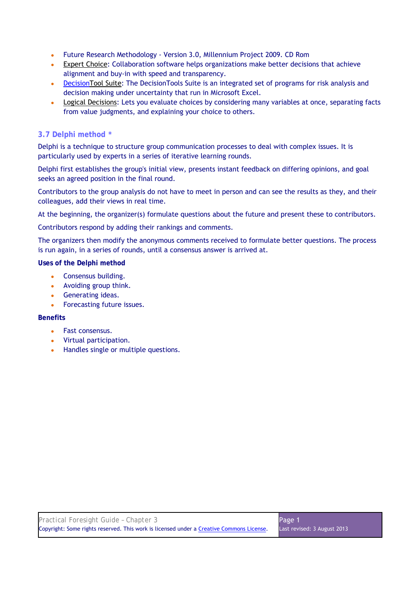- Future Research Methodology Version 3.0, Millennium Project 2009. CD Rom
- Expert Choice: Collaboration software helps organizations make better decisions that achieve alignment and buy-in with speed and transparency.
- DecisionTool Suite: The DecisionTools Suite is an integrated set of programs for risk analysis and decision making under uncertainty that run in Microsoft Excel.
- Logical Decisions: Lets you evaluate choices by considering many variables at once, separating facts from value judgments, and explaining your choice to others.

## **3.7 Delphi method \***

Delphi is a technique to structure group communication processes to deal with complex issues. It is particularly used by experts in a series of iterative learning rounds.

Delphi first establishes the group's initial view, presents instant feedback on differing opinions, and goal seeks an agreed position in the final round.

Contributors to the group analysis do not have to meet in person and can see the results as they, and their colleagues, add their views in real time.

At the beginning, the organizer(s) formulate questions about the future and present these to contributors.

Contributors respond by adding their rankings and comments.

The organizers then modify the anonymous comments received to formulate better questions. The process is run again, in a series of rounds, until a consensus answer is arrived at.

**Uses of the Delphi method** 

- Consensus building.
- Avoiding group think.
- Generating ideas.
- Forecasting future issues.

## **Benefits**

- Fast consensus.
- Virtual participation.
- Handles single or multiple questions.

| Practical Foresight Guide - Chapter 3                                                    | Page 1                      |
|------------------------------------------------------------------------------------------|-----------------------------|
| Copyright: Some rights reserved. This work is licensed under a Creative Commons License. | Last revised: 3 August 2013 |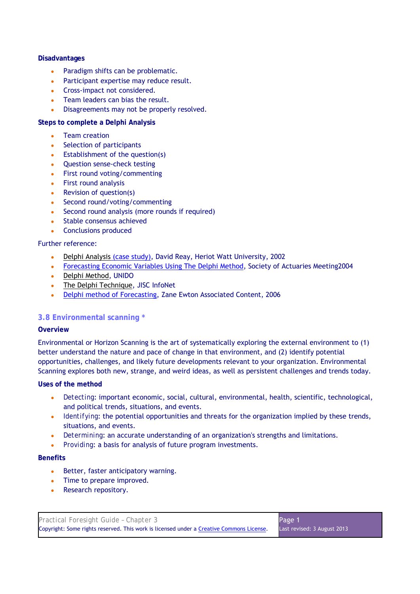## **Disadvantages**

- Paradigm shifts can be problematic.
- Participant expertise may reduce result.
- Cross-impact not considered.
- Team leaders can bias the result.
- Disagreements may not be properly resolved.

## **Steps to complete a Delphi Analysis**

- Team creation
- Selection of participants
- $\bullet$  Establishment of the question(s)
- Question sense-check testing
- First round voting/commenting
- First round analysis
- $\bullet$  Revision of question(s)
- Second round/voting/commenting
- Second round analysis (more rounds if required)
- Stable consensus achieved
- Conclusions produced

## Further reference:

- Delphi Analysis (case study), David Reay, Heriot Watt University, 2002
- Forecasting Economic Variables Using The Delphi Method, Society of Actuaries Meeting2004
- Delphi Method, UNIDO
- The Delphi Technique, JISC InfoNet
- Delphi method of Forecasting, Zane Ewton Associated Content, 2006

## **3.8 Environmental scanning \***

## **Overview**

Environmental or Horizon Scanning is the art of systematically exploring the external environment to (1) better understand the nature and pace of change in that environment, and (2) identify potential opportunities, challenges, and likely future developments relevant to your organization. Environmental Scanning explores both new, strange, and weird ideas, as well as persistent challenges and trends today.

## **Uses of the method**

- Detecting: important economic, social, cultural, environmental, health, scientific, technological, and political trends, situations, and events.
- *Identifying*: the potential opportunities and threats for the organization implied by these trends, situations, and events.
- Determining: an accurate understanding of an organization's strengths and limitations.
- *Providing*: a basis for analysis of future program investments.

#### **Benefits**

- Better, faster anticipatory warning.
- Time to prepare improved.
- Research repository.

| Practical Foresight Guide - Chapter 3                                                    | Page 1                      |
|------------------------------------------------------------------------------------------|-----------------------------|
| Copyright: Some rights reserved. This work is licensed under a Creative Commons License. | Last revised: 3 August 2013 |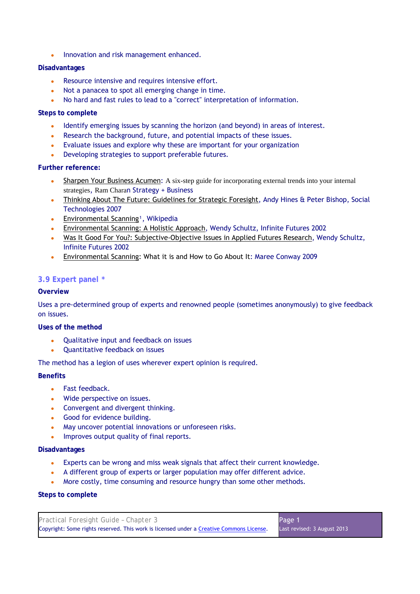• Innovation and risk management enhanced.

## **Disadvantages**

- Resource intensive and requires intensive effort.
- Not a panacea to spot all emerging change in time.
- No hard and fast rules to lead to a "correct" interpretation of information.

## **Steps to complete**

- Identify emerging issues by scanning the horizon (and beyond) in areas of interest.
- Research the background, future, and potential impacts of these issues.
- Evaluate issues and explore why these are important for your organization
- Developing strategies to support preferable futures.

## **Further reference:**

- Sharpen Your Business Acumen: A six-step guide for incorporating external trends into your internal strategies, Ram Charan Strategy + Business
- Thinking About The Future: Guidelines for Strategic Foresight, Andy Hines & Peter Bishop, Social Technologies 2007
- **•** Environmental Scanning<sup>1</sup>, Wikipedia
- Environmental Scanning: A Holistic Approach, Wendy Schultz, Infinite Futures 2002
- Was It Good For You?: Subjective-Objective Issues in Applied Futures Research, Wendy Schultz, Infinite Futures 2002
- Environmental Scanning: What it is and How to Go About It: Maree Conway 2009

## **3.9 Expert panel \***

## **Overview**

Uses a pre-determined group of experts and renowned people (sometimes anonymously) to give feedback on issues.

## **Uses of the method**

- Qualitative input and feedback on issues
- Quantitative feedback on issues

The method has a legion of uses wherever expert opinion is required.

## **Benefits**

- Fast feedback.
- Wide perspective on issues.
- Convergent and divergent thinking.
- Good for evidence building.
- May uncover potential innovations or unforeseen risks.
- Improves output quality of final reports.

## **Disadvantages**

- Experts can be wrong and miss weak signals that affect their current knowledge.
- A different group of experts or larger population may offer different advice.
- More costly, time consuming and resource hungry than some other methods.

| Practical Foresight Guide - Chapter 3                                                    | Page 1                      |
|------------------------------------------------------------------------------------------|-----------------------------|
| Copyright: Some rights reserved. This work is licensed under a Creative Commons License. | Last revised: 3 August 2013 |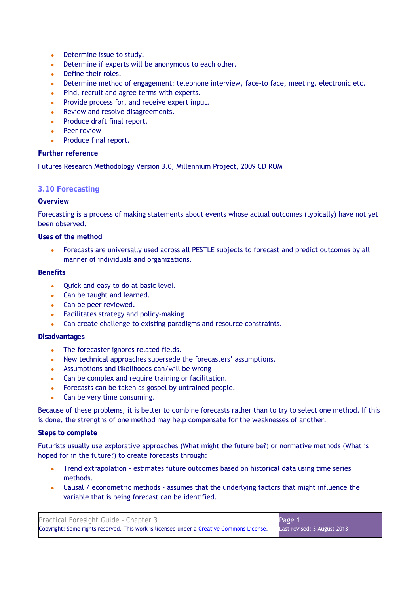- Determine issue to study.
- Determine if experts will be anonymous to each other.
- Define their roles.
- Determine method of engagement: telephone interview, face-to face, meeting, electronic etc.
- Find, recruit and agree terms with experts.
- Provide process for, and receive expert input.
- Review and resolve disagreements.
- Produce draft final report.
- **Peer review**
- Produce final report.

Futures Research Methodology Version 3.0, Millennium Project, 2009 CD ROM

## **3.10 Forecasting**

## **Overview**

Forecasting is a process of making statements about events whose actual outcomes (typically) have not yet been observed.

**Uses of the method** 

Forecasts are universally used across all PESTLE subjects to forecast and predict outcomes by all manner of individuals and organizations.

#### **Benefits**

- Quick and easy to do at basic level.
- Can be taught and learned.
- Can be peer reviewed.
- Facilitates strategy and policy-making
- Can create challenge to existing paradigms and resource constraints.

## **Disadvantages**

- The forecaster ignores related fields.
- New technical approaches supersede the forecasters' assumptions.
- Assumptions and likelihoods can/will be wrong
- Can be complex and require training or facilitation.
- Forecasts can be taken as gospel by untrained people.
- Can be very time consuming.

Because of these problems, it is better to combine forecasts rather than to try to select one method. If this is done, the strengths of one method may help compensate for the weaknesses of another.

## **Steps to complete**

Futurists usually use explorative approaches (What might the future be?) or normative methods (What is hoped for in the future?) to create forecasts through:

- Trend extrapolation estimates future outcomes based on historical data using time series methods.
- Causal / econometric methods assumes that the underlying factors that might influence the variable that is being forecast can be identified.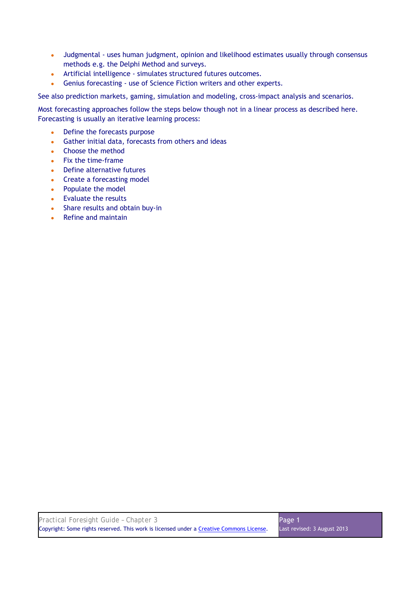- Judgmental uses human judgment, opinion and likelihood estimates usually through consensus methods e.g. the Delphi Method and surveys.
- Artificial intelligence simulates structured futures outcomes.
- Genius forecasting use of Science Fiction writers and other experts.

See also prediction markets, gaming, simulation and modeling, cross-impact analysis and scenarios.

Most forecasting approaches follow the steps below though not in a linear process as described here. Forecasting is usually an iterative learning process:

- Define the forecasts purpose
- Gather initial data, forecasts from others and ideas
- Choose the method
- Fix the time-frame
- Define alternative futures
- Create a forecasting model
- Populate the model
- Evaluate the results
- Share results and obtain buy-in
- Refine and maintain

| Practical Foresight Guide - Chapter 3                                                    | Page 1                      |
|------------------------------------------------------------------------------------------|-----------------------------|
| Copyright: Some rights reserved. This work is licensed under a Creative Commons License. | Last revised: 3 August 2013 |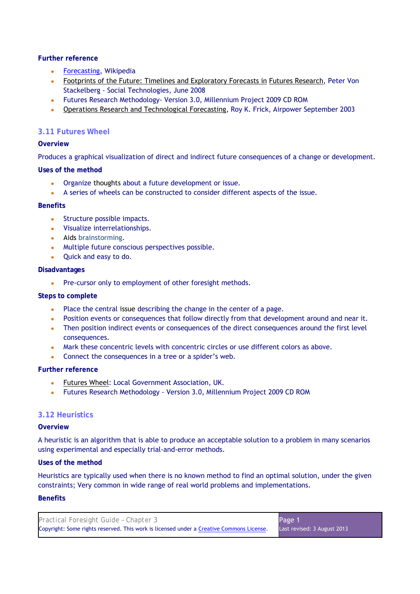- Forecasting, Wikipedia
- Footprints of the Future: Timelines and Exploratory Forecasts in Futures Research, Peter Von Stackelberg - Social Technologies, June 2008
- Futures Research Methodology- Version 3.0, Millennium Project 2009 CD ROM
- Operations Research and Technological Forecasting, Roy K. Frick, Airpower September 2003

## **3.11 Futures Wheel**

## **Overview**

Produces a graphical visualization of direct and indirect future consequences of a change or development.

## **Uses of the method**

- Organize thoughts about a future development or issue.
- A series of wheels can be constructed to consider different aspects of the issue.

## **Benefits**

- Structure possible impacts.
- Visualize interrelationships.
- Aids brainstorming.
- Multiple future conscious perspectives possible.
- Quick and easy to do.

## **Disadvantages**

• Pre-cursor only to employment of other foresight methods.

## **Steps to complete**

- Place the central issue describing the change in the center of a page.
- Position events or consequences that follow directly from that development around and near it.
- Then position indirect events or consequences of the direct consequences around the first level consequences.
- Mark these concentric levels with concentric circles or use different colors as above.
- Connect the consequences in a tree or a spider's web.

## **Further reference**

- Futures Wheel: Local Government Association, UK.
- Futures Research Methodology Version 3.0, Millennium Project 2009 CD ROM

## **3.12 Heuristics**

## **Overview**

A heuristic is an algorithm that is able to produce an acceptable solution to a problem in many scenarios using experimental and especially trial-and-error methods.

## **Uses of the method**

Heuristics are typically used when there is no known method to find an optimal solution, under the given constraints; Very common in wide range of real world problems and implementations.

## **Benefits**

| Practical Foresight Guide - Chapter 3                                                    | Page 1                      |
|------------------------------------------------------------------------------------------|-----------------------------|
| Copyright: Some rights reserved. This work is licensed under a Creative Commons License. | Last revised: 3 August 2013 |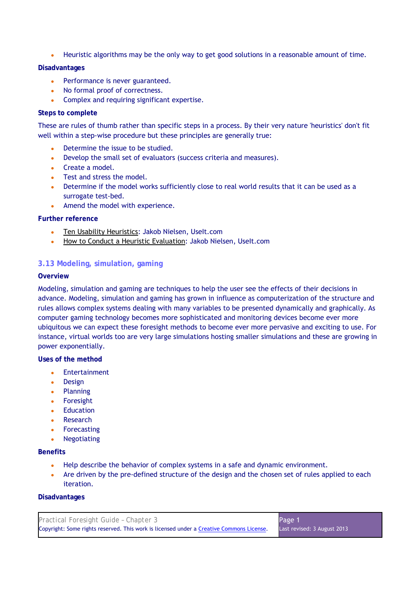• Heuristic algorithms may be the only way to get good solutions in a reasonable amount of time.

## **Disadvantages**

- Performance is never guaranteed.
- No formal proof of correctness.
- Complex and requiring significant expertise.

## **Steps to complete**

These are rules of thumb rather than specific steps in a process. By their very nature 'heuristics' don't fit well within a step-wise procedure but these principles are generally true:

- Determine the issue to be studied.
- Develop the small set of evaluators (success criteria and measures).
- Create a model.
- Test and stress the model.
- Determine if the model works sufficiently close to real world results that it can be used as a surrogate test-bed.
- Amend the model with experience.

## **Further reference**

- Ten Usability Heuristics: Jakob Nielsen, Uselt.com
- How to Conduct a Heuristic Evaluation: Jakob Nielsen, UseIt.com

## **3.13 Modeling, simulation, gaming**

## **Overview**

Modeling, simulation and gaming are techniques to help the user see the effects of their decisions in advance. Modeling, simulation and gaming has grown in influence as computerization of the structure and rules allows complex systems dealing with many variables to be presented dynamically and graphically. As computer gaming technology becomes more sophisticated and monitoring devices become ever more ubiquitous we can expect these foresight methods to become ever more pervasive and exciting to use. For instance, virtual worlds too are very large simulations hosting smaller simulations and these are growing in power exponentially.

**Uses of the method** 

- Entertainment
- Design
- Planning
- Foresight
- Education
- Research
- Forecasting
- Negotiating

## **Benefits**

- Help describe the behavior of complex systems in a safe and dynamic environment.
- Are driven by the pre-defined structure of the design and the chosen set of rules applied to each iteration.

## **Disadvantages**

| Practical Foresight Guide - Chapter 3                                                    | Page 1                      |
|------------------------------------------------------------------------------------------|-----------------------------|
| Copyright: Some rights reserved. This work is licensed under a Creative Commons License. | Last revised: 3 August 2013 |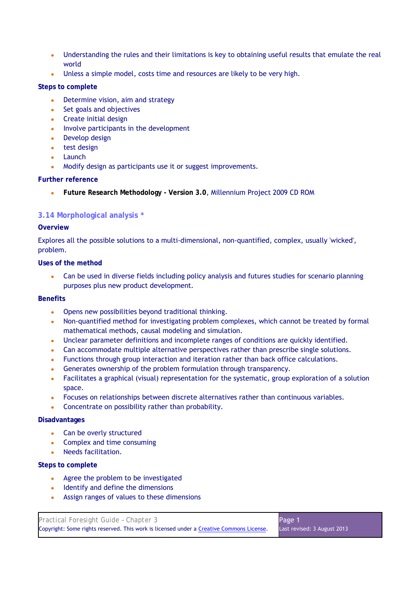- Understanding the rules and their limitations is key to obtaining useful results that emulate the real world
- Unless a simple model, costs time and resources are likely to be very high.

## **Steps to complete**

- Determine vision, aim and strategy
- Set goals and objectives
- Create initial design
- Involve participants in the development
- Develop design
- test design
- Launch
- Modify design as participants use it or suggest improvements.

## **Further reference**

● **Future Research Methodology - Version 3.0**, Millennium Project 2009 CD ROM

## **3.14 Morphological analysis \***

## **Overview**

Explores all the possible solutions to a multi-dimensional, non-quantified, complex, usually 'wicked', problem.

**Uses of the method** 

• Can be used in diverse fields including policy analysis and futures studies for scenario planning purposes plus new product development.

#### **Benefits**

- Opens new possibilities beyond traditional thinking.
- Non-quantified method for investigating problem complexes, which cannot be treated by formal mathematical methods, causal modeling and simulation.
- Unclear parameter definitions and incomplete ranges of conditions are quickly identified.
- Can accommodate multiple alternative perspectives rather than prescribe single solutions.
- Functions through group interaction and iteration rather than back office calculations.
- Generates ownership of the problem formulation through transparency.
- Facilitates a graphical (visual) representation for the systematic, group exploration of a solution space.
- Focuses on relationships between discrete alternatives rather than continuous variables.
- Concentrate on possibility rather than probability.

#### **Disadvantages**

- Can be overly structured
- Complex and time consuming
- Needs facilitation.

- Agree the problem to be investigated
- Identify and define the dimensions
- Assign ranges of values to these dimensions

| Practical Foresight Guide - Chapter 3                                                    | Page 1                      |
|------------------------------------------------------------------------------------------|-----------------------------|
| Copyright: Some rights reserved. This work is licensed under a Creative Commons License. | Last revised: 3 August 2013 |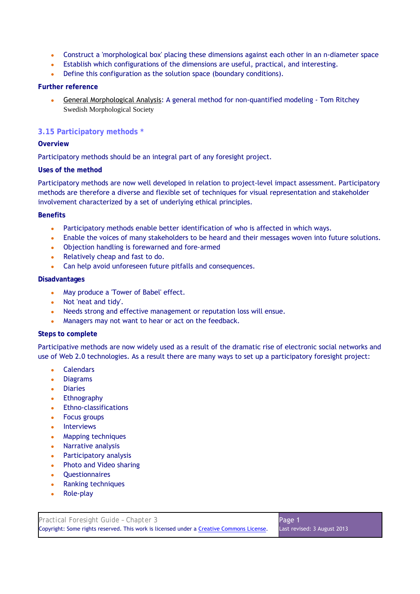- Construct a 'morphological box' placing these dimensions against each other in an n-diameter space
- Establish which configurations of the dimensions are useful, practical, and interesting.
- Define this configuration as the solution space (boundary conditions).

• General Morphological Analysis: A general method for non-quantified modeling - Tom Ritchey Swedish Morphological Society

## **3.15 Participatory methods \***

## **Overview**

Participatory methods should be an integral part of any foresight project.

## **Uses of the method**

Participatory methods are now well developed in relation to project-level impact assessment. Participatory methods are therefore a diverse and flexible set of techniques for visual representation and stakeholder involvement characterized by a set of underlying ethical principles.

## **Benefits**

- Participatory methods enable better identification of who is affected in which ways.
- Enable the voices of many stakeholders to be heard and their messages woven into future solutions.
- Objection handling is forewarned and fore-armed
- Relatively cheap and fast to do.
- Can help avoid unforeseen future pitfalls and consequences.

## **Disadvantages**

- May produce a 'Tower of Babel' effect.
- Not 'neat and tidy'.
- Needs strong and effective management or reputation loss will ensue.
- Managers may not want to hear or act on the feedback.

## **Steps to complete**

Participative methods are now widely used as a result of the dramatic rise of electronic social networks and use of Web 2.0 technologies. As a result there are many ways to set up a participatory foresight project:

- Calendars
- Diagrams
- Diaries
- Ethnography
- Ethno-classifications
- Focus groups
- Interviews
- Mapping techniques
- Narrative analysis
- Participatory analysis
- Photo and Video sharing
- **Questionnaires**
- Ranking techniques
- **Role-play**

| Practical Foresight Guide - Chapter 3                                                    | Page 1                      |
|------------------------------------------------------------------------------------------|-----------------------------|
| Copyright: Some rights reserved. This work is licensed under a Creative Commons License. | Last revised: 3 August 2013 |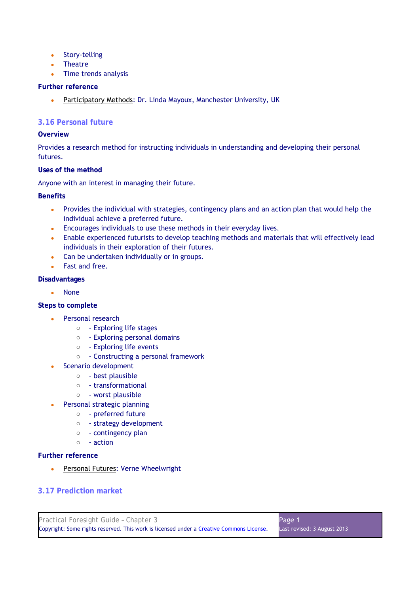- Story-telling
- Theatre
- Time trends analysis

• Participatory Methods: Dr. Linda Mayoux, Manchester University, UK

## **3.16 Personal future**

## **Overview**

Provides a research method for instructing individuals in understanding and developing their personal futures.

## **Uses of the method**

Anyone with an interest in managing their future.

## **Benefits**

- Provides the individual with strategies, contingency plans and an action plan that would help the individual achieve a preferred future.
- Encourages individuals to use these methods in their everyday lives.
- Enable experienced futurists to develop teaching methods and materials that will effectively lead individuals in their exploration of their futures.
- Can be undertaken individually or in groups.
- Fast and free.

## **Disadvantages**

• None

## **Steps to complete**

- Personal research
	- - Exploring life stages
	- - Exploring personal domains
	- - Exploring life events
	- - Constructing a personal framework
- Scenario development
	- - best plausible
	- - transformational
	- - worst plausible
- Personal strategic planning
	- - preferred future
	- - strategy development
	- - contingency plan
	- - action

## **Further reference**

• Personal Futures: Verne Wheelwright

## **3.17 Prediction market**

| Practical Foresight Guide - Chapter 3                                                    | Page 1                      |
|------------------------------------------------------------------------------------------|-----------------------------|
| Copyright: Some rights reserved. This work is licensed under a Creative Commons License. | Last revised: 3 August 2013 |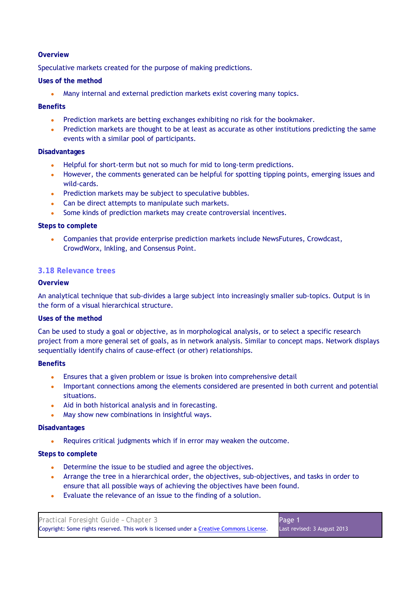## **Overview**

Speculative markets created for the purpose of making predictions.

## **Uses of the method**

• Many internal and external prediction markets exist covering many topics.

## **Benefits**

- Prediction markets are betting exchanges exhibiting no risk for the bookmaker.
- Prediction markets are thought to be at least as accurate as other institutions predicting the same events with a similar pool of participants.

## **Disadvantages**

- Helpful for short-term but not so much for mid to long-term predictions.
- However, the comments generated can be helpful for spotting tipping points, emerging issues and wild-cards.
- Prediction markets may be subject to speculative bubbles.
- Can be direct attempts to manipulate such markets.
- Some kinds of prediction markets may create controversial incentives.

## **Steps to complete**

• Companies that provide enterprise prediction markets include NewsFutures, Crowdcast, CrowdWorx, Inkling, and Consensus Point.

## **3.18 Relevance trees**

## **Overview**

An analytical technique that sub-divides a large subject into increasingly smaller sub-topics. Output is in the form of a visual hierarchical structure.

## **Uses of the method**

Can be used to study a goal or objective, as in morphological analysis, or to select a specific research project from a more general set of goals, as in network analysis. Similar to concept maps. Network displays sequentially identify chains of cause-effect (or other) relationships.

## **Benefits**

- Ensures that a given problem or issue is broken into comprehensive detail
- Important connections among the elements considered are presented in both current and potential situations.
- Aid in both historical analysis and in forecasting.
- May show new combinations in insightful ways.

## **Disadvantages**

Requires critical judgments which if in error may weaken the outcome.

- Determine the issue to be studied and agree the objectives.
- Arrange the tree in a hierarchical order, the objectives, sub-objectives, and tasks in order to ensure that all possible ways of achieving the objectives have been found.
- Evaluate the relevance of an issue to the finding of a solution.

| Practical Foresight Guide - Chapter 3                                                    | Page 1                      |
|------------------------------------------------------------------------------------------|-----------------------------|
| Copyright: Some rights reserved. This work is licensed under a Creative Commons License. | Last revised: 3 August 2013 |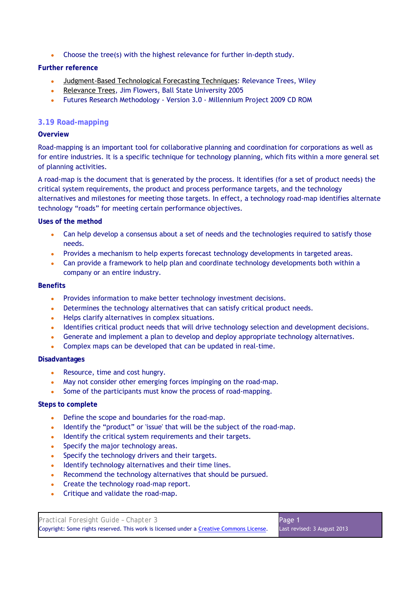• Choose the tree(s) with the highest relevance for further in-depth study.

## **Further reference**

- Judgment-Based Technological Forecasting Techniques: Relevance Trees, Wiley
- Relevance Trees, Jim Flowers, Ball State University 2005
- Futures Research Methodology Version 3.0 Millennium Project 2009 CD ROM

## **3.19 Road-mapping**

## **Overview**

Road-mapping is an important tool for collaborative planning and coordination for corporations as well as for entire industries. It is a specific technique for technology planning, which fits within a more general set of planning activities.

A road-map is the document that is generated by the process. It identifies (for a set of product needs) the critical system requirements, the product and process performance targets, and the technology alternatives and milestones for meeting those targets. In effect, a technology road-map identifies alternate technology "roads" for meeting certain performance objectives.

#### **Uses of the method**

- Can help develop a consensus about a set of needs and the technologies required to satisfy those needs.
- Provides a mechanism to help experts forecast technology developments in targeted areas.
- Can provide a framework to help plan and coordinate technology developments both within a company or an entire industry.

#### **Benefits**

- Provides information to make better technology investment decisions.
- Determines the technology alternatives that can satisfy critical product needs.
- Helps clarify alternatives in complex situations.
- Identifies critical product needs that will drive technology selection and development decisions.
- Generate and implement a plan to develop and deploy appropriate technology alternatives.
- Complex maps can be developed that can be updated in real-time.

#### **Disadvantages**

- Resource, time and cost hungry.
- May not consider other emerging forces impinging on the road-map.
- Some of the participants must know the process of road-mapping.

- Define the scope and boundaries for the road-map.
- Identify the "product" or 'issue' that will be the subject of the road-map.
- Identify the critical system requirements and their targets.
- Specify the major technology areas.
- Specify the technology drivers and their targets.
- Identify technology alternatives and their time lines.
- Recommend the technology alternatives that should be pursued.
- Create the technology road-map report.
- Critique and validate the road-map.

| Practical Foresight Guide - Chapter 3                                                    | Page 1                      |
|------------------------------------------------------------------------------------------|-----------------------------|
| Copyright: Some rights reserved. This work is licensed under a Creative Commons License. | Last revised: 3 August 2013 |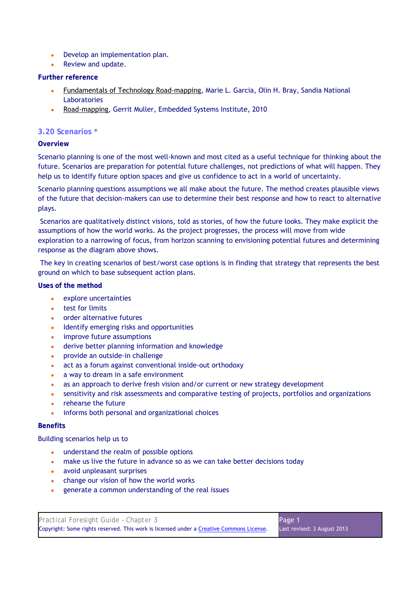- Develop an implementation plan.
- Review and update.

- Fundamentals of Technology Road-mapping, Marie L. Garcia, Olin H. Bray, Sandia National Laboratories
- Road-mapping, Gerrit Muller, Embedded Systems Institute, 2010

## **3.20 Scenarios \***

## **Overview**

Scenario planning is one of the most well-known and most cited as a useful technique for thinking about the future. Scenarios are preparation for potential future challenges, not predictions of what will happen. They help us to identify future option spaces and give us confidence to act in a world of uncertainty.

Scenario planning questions assumptions we all make about the future. The method creates plausible views of the future that decision-makers can use to determine their best response and how to react to alternative plays.

 Scenarios are qualitatively distinct visions, told as stories, of how the future looks. They make explicit the assumptions of how the world works. As the project progresses, the process will move from wide exploration to a narrowing of focus, from horizon scanning to envisioning potential futures and determining response as the diagram above shows.

 The key in creating scenarios of best/worst case options is in finding that strategy that represents the best ground on which to base subsequent action plans.

**Uses of the method** 

- explore uncertainties
- test for limits
- order alternative futures
- Identify emerging risks and opportunities
- improve future assumptions
- derive better planning information and knowledge
- provide an outside-in challenge
- act as a forum against conventional inside-out orthodoxy
- a way to dream in a safe environment
- as an approach to derive fresh vision and/or current or new strategy development
- sensitivity and risk assessments and comparative testing of projects, portfolios and organizations
- rehearse the future
- informs both personal and organizational choices

## **Benefits**

Building scenarios help us to

- understand the realm of possible options
- make us live the future in advance so as we can take better decisions today
- avoid unpleasant surprises
- change our vision of how the world works
- generate a common understanding of the real issues

| Practical Foresight Guide - Chapter 3                                                    | Page 1                      |
|------------------------------------------------------------------------------------------|-----------------------------|
| Copyright: Some rights reserved. This work is licensed under a Creative Commons License. | Last revised: 3 August 2013 |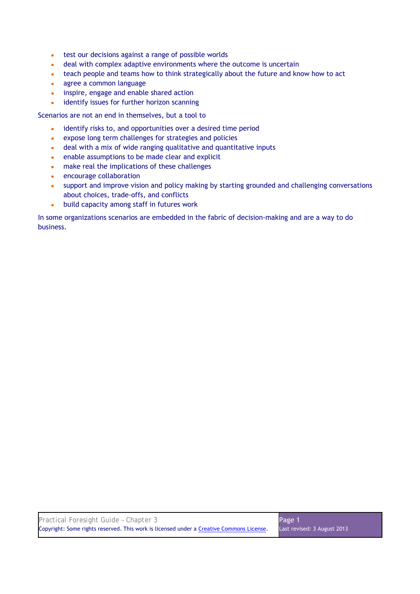- test our decisions against a range of possible worlds
- deal with complex adaptive environments where the outcome is uncertain
- teach people and teams how to think strategically about the future and know how to act
- agree a common language
- inspire, engage and enable shared action
- identify issues for further horizon scanning

Scenarios are not an end in themselves, but a tool to

- identify risks to, and opportunities over a desired time period
- expose long term challenges for strategies and policies
- deal with a mix of wide ranging qualitative and quantitative inputs
- enable assumptions to be made clear and explicit
- make real the implications of these challenges
- encourage collaboration
- support and improve vision and policy making by starting grounded and challenging conversations about choices, trade-offs, and conflicts
- build capacity among staff in futures work

In some organizations scenarios are embedded in the fabric of decision-making and are a way to do business.

| Practical Foresight Guide - Chapter 3                                                    | Page 1                      |
|------------------------------------------------------------------------------------------|-----------------------------|
| Copyright: Some rights reserved. This work is licensed under a Creative Commons License. | Last revised: 3 August 2013 |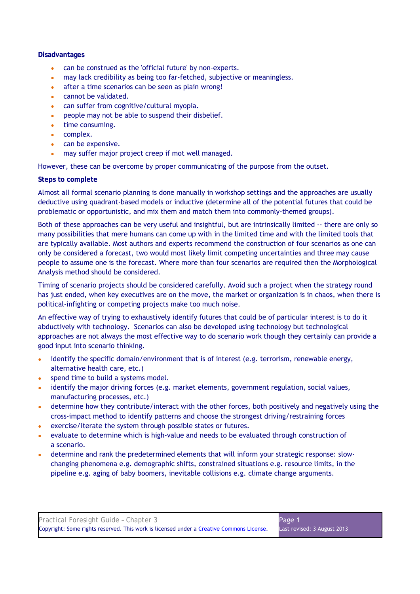## **Disadvantages**

- can be construed as the 'official future' by non-experts.
- may lack credibility as being too far-fetched, subjective or meaningless.
- after a time scenarios can be seen as plain wrong!
- cannot be validated.
- can suffer from cognitive/cultural myopia.
- people may not be able to suspend their disbelief.
- time consuming.
- complex.
- can be expensive.
- may suffer major project creep if mot well managed.

However, these can be overcome by proper communicating of the purpose from the outset.

## **Steps to complete**

Almost all formal scenario planning is done manually in workshop settings and the approaches are usually deductive using quadrant-based models or inductive (determine all of the potential futures that could be problematic or opportunistic, and mix them and match them into commonly-themed groups).

Both of these approaches can be very useful and insightful, but are intrinsically limited -- there are only so many possibilities that mere humans can come up with in the limited time and with the limited tools that are typically available. Most authors and experts recommend the construction of four scenarios as one can only be considered a forecast, two would most likely limit competing uncertainties and three may cause people to assume one is the forecast. Where more than four scenarios are required then the Morphological Analysis method should be considered.

Timing of scenario projects should be considered carefully. Avoid such a project when the strategy round has just ended, when key executives are on the move, the market or organization is in chaos, when there is political-infighting or competing projects make too much noise.

An effective way of trying to exhaustively identify futures that could be of particular interest is to do it abductively with technology. Scenarios can also be developed using technology but technological approaches are not always the most effective way to do scenario work though they certainly can provide a good input into scenario thinking.

- identify the specific domain/environment that is of interest (e.g. terrorism, renewable energy, alternative health care, etc.)
- spend time to build a systems model.
- identify the major driving forces (e.g. market elements, government regulation, social values, manufacturing processes, etc.)
- determine how they contribute/interact with the other forces, both positively and negatively using the cross-impact method to identify patterns and choose the strongest driving/restraining forces
- exercise/iterate the system through possible states or futures.
- evaluate to determine which is high-value and needs to be evaluated through construction of a scenario.
- determine and rank the predetermined elements that will inform your strategic response: slowchanging phenomena e.g. demographic shifts, constrained situations e.g. resource limits, in the pipeline e.g. aging of baby boomers, inevitable collisions e.g. climate change arguments.

| Practical Foresight Guide - Chapter 3                                                    | Page 1                      |
|------------------------------------------------------------------------------------------|-----------------------------|
| Copyright: Some rights reserved. This work is licensed under a Creative Commons License. | Last revised: 3 August 2013 |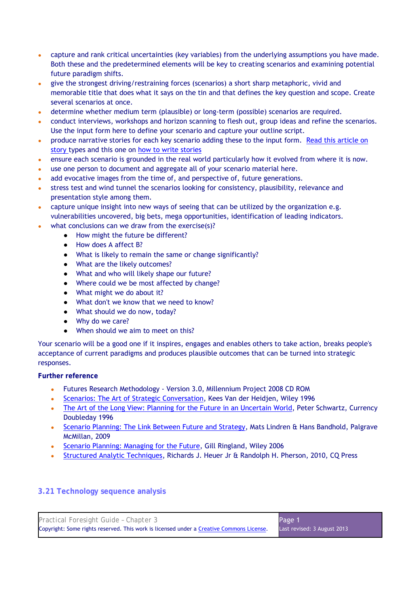- capture and rank critical uncertainties (key variables) from the underlying assumptions you have made. Both these and the predetermined elements will be key to creating scenarios and examining potential future paradigm shifts.
- give the strongest driving/restraining forces (scenarios) a short sharp metaphoric, vivid and memorable title that does what it says on the tin and that defines the key question and scope. Create several scenarios at once.
- determine whether medium term (plausible) or long-term (possible) scenarios are required.
- conduct interviews, workshops and horizon scanning to flesh out, group ideas and refine the scenarios. Use the input form here to define your scenario and capture your outline script.
- produce narrative stories for each key scenario adding these to the input form. Read this article on story types and this one on how to write stories
- ensure each scenario is grounded in the real world particularly how it evolved from where it is now.
- use one person to document and aggregate all of your scenario material here.
- add evocative images from the time of, and perspective of, future generations.
- stress test and wind tunnel the scenarios looking for consistency, plausibility, relevance and presentation style among them.
- capture unique insight into new ways of seeing that can be utilized by the organization e.g. vulnerabilities uncovered, big bets, mega opportunities, identification of leading indicators.
	- what conclusions can we draw from the exercise(s)?
		- How might the future be different?
		- How does A affect B?
		- What is likely to remain the same or change significantly?
		- What are the likely outcomes?
		- What and who will likely shape our future?
		- Where could we be most affected by change?
		- What might we do about it?
		- What don't we know that we need to know?
		- What should we do now, today?
		- Why do we care?
		- When should we aim to meet on this?

Your scenario will be a good one if it inspires, engages and enables others to take action, breaks people's acceptance of current paradigms and produces plausible outcomes that can be turned into strategic responses.

## **Further reference**

- Futures Research Methodology Version 3.0, Millennium Project 2008 CD ROM
- Scenarios: The Art of Strategic Conversation, Kees Van der Heidjen, Wiley 1996
- The Art of the Long View: Planning for the Future in an Uncertain World, Peter Schwartz, Currency Doubleday 1996
- Scenario Planning: The Link Between Future and Strategy, Mats Lindren & Hans Bandhold, Palgrave McMillan, 2009
- Scenario Planning: Managing for the Future, Gill Ringland, Wiley 2006
- Structured Analytic Techniques, Richards J. Heuer Jr & Randolph H. Pherson, 2010, CQ Press

## **3.21 Technology sequence analysis**

| Practical Foresight Guide - Chapter 3                                                    | Page 1                      |
|------------------------------------------------------------------------------------------|-----------------------------|
| Copyright: Some rights reserved. This work is licensed under a Creative Commons License. | Last revised: 3 August 2013 |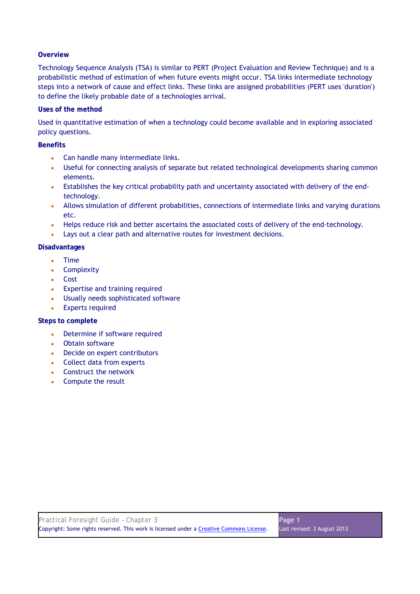## **Overview**

Technology Sequence Analysis (TSA) is similar to PERT (Project Evaluation and Review Technique) and is a probabilistic method of estimation of when future events might occur. TSA links intermediate technology steps into a network of cause and effect links. These links are assigned probabilities (PERT uses 'duration') to define the likely probable date of a technologies arrival.

## **Uses of the method**

Used in quantitative estimation of when a technology could become available and in exploring associated policy questions.

## **Benefits**

- Can handle many intermediate links.
- Useful for connecting analysis of separate but related technological developments sharing common elements.
- Establishes the key critical probability path and uncertainty associated with delivery of the endtechnology.
- Allows simulation of different probabilities, connections of intermediate links and varying durations etc.
- Helps reduce risk and better ascertains the associated costs of delivery of the end-technology.
- Lays out a clear path and alternative routes for investment decisions.

## **Disadvantages**

- Time
- Complexity
- Cost
- Expertise and training required
- Usually needs sophisticated software
- Experts required

- Determine if software required
- Obtain software
- Decide on expert contributors
- Collect data from experts
- Construct the network
- Compute the result

| Practical Foresight Guide - Chapter 3                                                    | Page 1                      |
|------------------------------------------------------------------------------------------|-----------------------------|
| Copyright: Some rights reserved. This work is licensed under a Creative Commons License. | Last revised: 3 August 2013 |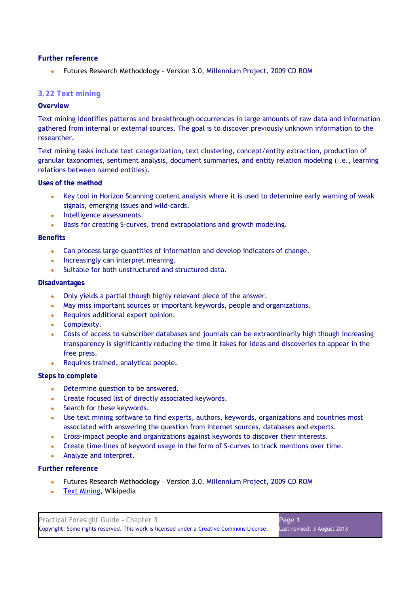● Futures Research Methodology - Version 3.0, Millennium Project, 2009 CD ROM

## **3.22 Text mining**

## **Overview**

Text mining identifies patterns and breakthrough occurrences in large amounts of raw data and information gathered from internal or external sources. The goal is to discover previously unknown information to the researcher.

Text mining tasks include text categorization, text clustering, concept/entity extraction, production of granular taxonomies, sentiment analysis, document summaries, and entity relation modeling (*i.e.*, learning relations between named entities).

#### **Uses of the method**

- Key tool in Horizon Scanning content analysis where it is used to determine early warning of weak signals, emerging issues and wild-cards.
- Intelligence assessments.
- Basis for creating S-curves, trend extrapolations and growth modeling.

#### **Benefits**

- Can process large quantities of information and develop indicators of change.
- Increasingly can interpret meaning.
- Suitable for both unstructured and structured data.

#### **Disadvantages**

- Only yields a partial though highly relevant piece of the answer.
- May miss important sources or important keywords, people and organizations.
- Requires additional expert opinion.
- Complexity.
- Costs of access to subscriber databases and journals can be extraordinarily high though increasing transparency is significantly reducing the time it takes for ideas and discoveries to appear in the free press.
- Requires trained, analytical people.

#### **Steps to complete**

- Determine question to be answered.
- Create focused list of directly associated keywords.
- Search for these keywords.
- Use text mining software to find experts, authors, keywords, organizations and countries most associated with answering the question from Internet sources, databases and experts.
- Cross-impact people and organizations against keywords to discover their interests.
- Create time-lines of keyword usage in the form of S-curves to track mentions over time.
- Analyze and interpret.

## **Further reference**

- Futures Research Methodology Version 3.0, Millennium Project, 2009 CD ROM
- Text Mining, Wikipedia

| Practical Foresight Guide - Chapter 3                                                    | Page 1                      |
|------------------------------------------------------------------------------------------|-----------------------------|
| Copyright: Some rights reserved. This work is licensed under a Creative Commons License. | Last revised: 3 August 2013 |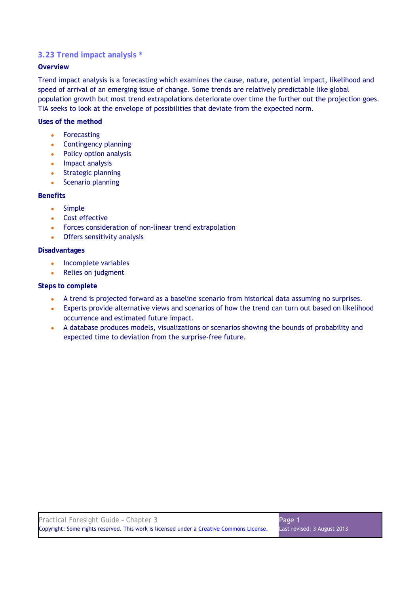## **3.23 Trend impact analysis \***

## **Overview**

Trend impact analysis is a forecasting which examines the cause, nature, potential impact, likelihood and speed of arrival of an emerging issue of change. Some trends are relatively predictable like global population growth but most trend extrapolations deteriorate over time the further out the projection goes. TIA seeks to look at the envelope of possibilities that deviate from the expected norm.

## **Uses of the method**

- Forecasting
- Contingency planning
- Policy option analysis
- Impact analysis
- Strategic planning
- Scenario planning

## **Benefits**

- Simple
- Cost effective
- Forces consideration of non-linear trend extrapolation
- Offers sensitivity analysis

## **Disadvantages**

- Incomplete variables
- Relies on judgment

- A trend is projected forward as a baseline scenario from historical data assuming no surprises.
- Experts provide alternative views and scenarios of how the trend can turn out based on likelihood occurrence and estimated future impact.
- A database produces models, visualizations or scenarios showing the bounds of probability and expected time to deviation from the surprise-free future.

| Practical Foresight Guide - Chapter 3                                                    | Page 1                      |
|------------------------------------------------------------------------------------------|-----------------------------|
| Copyright: Some rights reserved. This work is licensed under a Creative Commons License. | Last revised: 3 August 2013 |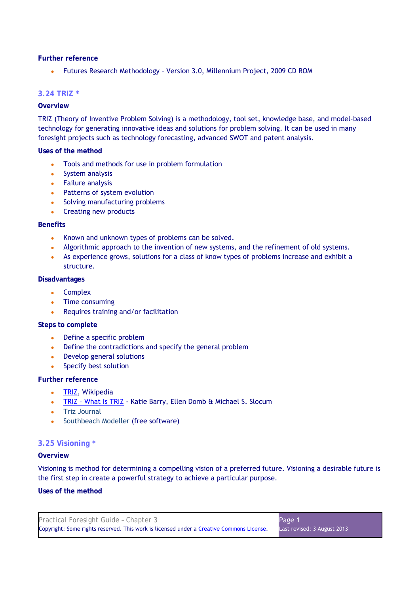Futures Research Methodology - Version 3.0, Millennium Project, 2009 CD ROM

## **3.24 TRIZ \***

## **Overview**

TRIZ (Theory of Inventive Problem Solving) is a methodology, tool set, knowledge base, and model-based technology for generating innovative ideas and solutions for problem solving. It can be used in many foresight projects such as technology forecasting, advanced SWOT and patent analysis.

#### **Uses of the method**

- Tools and methods for use in problem formulation
- System analysis
- Failure analysis
- Patterns of system evolution
- Solving manufacturing problems
- Creating new products

#### **Benefits**

- Known and unknown types of problems can be solved.
- Algorithmic approach to the invention of new systems, and the refinement of old systems.
- As experience grows, solutions for a class of know types of problems increase and exhibit a structure.

#### **Disadvantages**

- Complex
- Time consuming
- Requires training and/or facilitation

#### **Steps to complete**

- Define a specific problem
- Define the contradictions and specify the general problem
- Develop general solutions
- Specify best solution

#### **Further reference**

- TRIZ, Wikipedia
- TRIZ What Is TRIZ Katie Barry, Ellen Domb & Michael S. Slocum
- Triz Journal
- Southbeach Modeller (free software)

## **3.25 Visioning \***

#### **Overview**

Visioning is method for determining a compelling vision of a preferred future. Visioning a desirable future is the first step in create a powerful strategy to achieve a particular purpose.

#### **Uses of the method**

| Practical Foresight Guide - Chapter 3                                                    | Page 1                      |
|------------------------------------------------------------------------------------------|-----------------------------|
| Copyright: Some rights reserved. This work is licensed under a Creative Commons License. | Last revised: 3 August 2013 |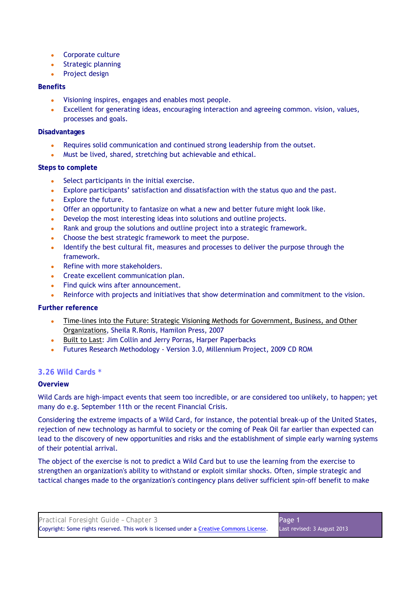- Corporate culture
- Strategic planning
- Project design

## **Benefits**

- Visioning inspires, engages and enables most people.
- Excellent for generating ideas, encouraging interaction and agreeing common. vision, values, processes and goals.

## **Disadvantages**

- Requires solid communication and continued strong leadership from the outset.
- Must be lived, shared, stretching but achievable and ethical.

## **Steps to complete**

- Select participants in the initial exercise.
- Explore participants' satisfaction and dissatisfaction with the status quo and the past.
- Explore the future.
- Offer an opportunity to fantasize on what a new and better future might look like.
- Develop the most interesting ideas into solutions and outline projects.
- Rank and group the solutions and outline project into a strategic framework.
- Choose the best strategic framework to meet the purpose.
- Identify the best cultural fit, measures and processes to deliver the purpose through the framework.
- Refine with more stakeholders.
- Create excellent communication plan.
- Find quick wins after announcement.
- Reinforce with projects and initiatives that show determination and commitment to the vision.

## **Further reference**

- Time-lines into the Future: Strategic Visioning Methods for Government, Business, and Other Organizations, Sheila R.Ronis, Hamilon Press, 2007
- Built to Last: Jim Collin and Jerry Porras, Harper Paperbacks
- Futures Research Methodology Version 3.0, Millennium Project, 2009 CD ROM

## **3.26 Wild Cards \***

## **Overview**

Wild Cards are high-impact events that seem too incredible, or are considered too unlikely, to happen; yet many do e.g. September 11th or the recent Financial Crisis.

Considering the extreme impacts of a Wild Card, for instance, the potential break-up of the United States, rejection of new technology as harmful to society or the coming of Peak Oil far earlier than expected can lead to the discovery of new opportunities and risks and the establishment of simple early warning systems of their potential arrival.

The object of the exercise is not to predict a Wild Card but to use the learning from the exercise to strengthen an organization's ability to withstand or exploit similar shocks. Often, simple strategic and tactical changes made to the organization's contingency plans deliver sufficient spin-off benefit to make

| Practical Foresight Guide - Chapter 3                                                    | Page 1                      |
|------------------------------------------------------------------------------------------|-----------------------------|
| Copyright: Some rights reserved. This work is licensed under a Creative Commons License. | Last revised: 3 August 2013 |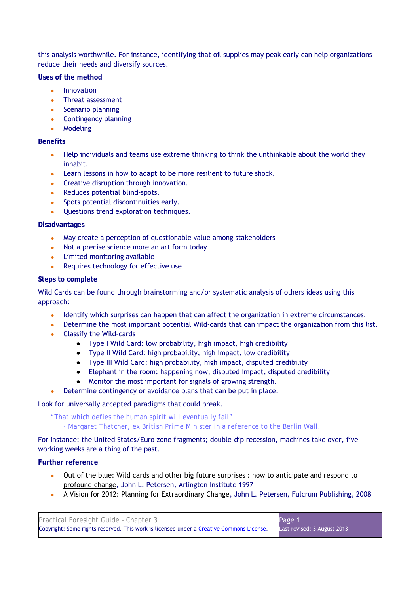this analysis worthwhile. For instance, identifying that oil supplies may peak early can help organizations reduce their needs and diversify sources.

**Uses of the method** 

- Innovation
- Threat assessment
- Scenario planning
- Contingency planning
- Modeling

## **Benefits**

- Help individuals and teams use extreme thinking to think the unthinkable about the world they inhabit.
- Learn lessons in how to adapt to be more resilient to future shock.
- Creative disruption through innovation.
- Reduces potential blind-spots.
- Spots potential discontinuities early.
- Questions trend exploration techniques.

## **Disadvantages**

- May create a perception of questionable value among stakeholders
- Not a precise science more an art form today
- Limited monitoring available
- Requires technology for effective use

## **Steps to complete**

Wild Cards can be found through brainstorming and/or systematic analysis of others ideas using this approach:

- Identify which surprises can happen that can affect the organization in extreme circumstances.
- Determine the most important potential Wild-cards that can impact the organization from this list.
- Classify the Wild-cards
	- Type I Wild Card: low probability, high impact, high credibility
	- Type II Wild Card: high probability, high impact, low credibility
	- Type III Wild Card: high probability, high impact, disputed credibility
	- Elephant in the room: happening now, disputed impact, disputed credibility
	- Monitor the most important for signals of growing strength.
	- Determine contingency or avoidance plans that can be put in place.

## Look for universally accepted paradigms that could break.

*"That which defies the human spirit will eventually fail" - Margaret Thatcher, ex British Prime Minister in a reference to the Berlin Wall.* 

For instance: the United States/Euro zone fragments; double-dip recession, machines take over, five working weeks are a thing of the past.

## **Further reference**

- Out of the blue: Wild cards and other big future surprises : how to anticipate and respond to profound change, John L. Petersen, Arlington Institute 1997
- A Vision for 2012: Planning for Extraordinary Change, John L. Petersen, Fulcrum Publishing, 2008

| Practical Foresight Guide - Chapter 3                                                    | Page 1                      |
|------------------------------------------------------------------------------------------|-----------------------------|
| Copyright: Some rights reserved. This work is licensed under a Creative Commons License. | Last revised: 3 August 2013 |